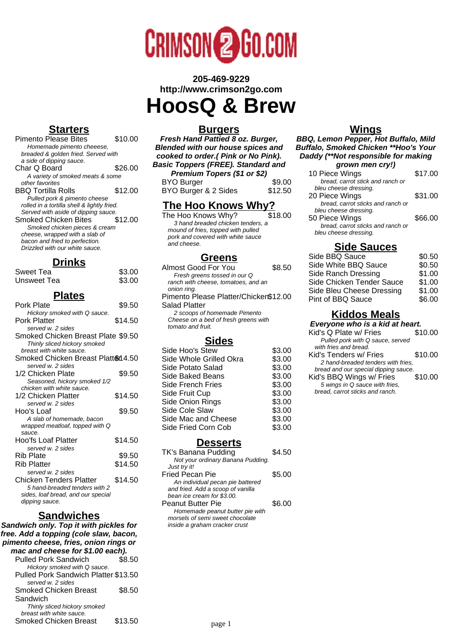

**205-469-9229 http://www.crimson2go.com**

# **HoosQ & Brew**

# **Starters**

| <b>Pimento Please Bites</b>                 | \$10.00 |
|---------------------------------------------|---------|
| Homemade pimento cheeese,                   |         |
| breaded & golden fried. Served with         |         |
| a side of dipping sauce.                    |         |
| Char Q Board                                | \$26.00 |
| A variety of smoked meats & some            |         |
| other favorites                             |         |
| <b>BBQ Tortilla Rolls</b>                   | \$12.00 |
| Pulled pork & pimento cheese                |         |
| rolled in a tortilla shell & lightly fried. |         |
| Served with aside of dipping sauce.         |         |
| <b>Smoked Chicken Bites</b>                 | \$12.00 |
| Smoked chicken pieces & cream               |         |
| cheese, wrapped with a slab of              |         |
| bacon and fried to perfection.              |         |
| Drizzled with our white sauce.              |         |
|                                             |         |

### **Drinks**

| Sweet Tea   | \$3.00 |
|-------------|--------|
| Unsweet Tea | \$3.00 |

### **Plates**

| Pork Plate                         | \$9.50  |
|------------------------------------|---------|
| Hickory smoked with Q sauce.       |         |
| Pork Platter                       | \$14.50 |
| served w. 2 sides                  |         |
| Smoked Chicken Breast Plate \$9.50 |         |
| Thinly sliced hickory smoked       |         |
| breast with white sauce.           |         |
| Smoked Chicken Breast Platten 4.50 |         |
| served w. 2 sides                  |         |
| 1/2 Chicken Plate                  | \$9.50  |
| Seasoned, hickory smoked 1/2       |         |
| chicken with white sauce.          |         |
| 1/2 Chicken Platter                | \$14.50 |
| served w. 2 sides                  |         |
| Hoo's Loaf                         | \$9.50  |
| A slab of homemade, bacon          |         |
| wrapped meatloaf, topped with Q    |         |
| sauce.                             |         |
| Hoo'fs Loaf Platter                | \$14.50 |
| served w. 2 sides                  |         |
| Rib Plate                          | \$9.50  |
| Rib Platter                        | \$14.50 |
| served w. 2 sides                  |         |
| Chicken Tenders Platter            | \$14.50 |
| 5 hand-breaded tenders with 2      |         |
| sides, loaf bread, and our special |         |
| dipping sauce.                     |         |
| .<br>. .                           |         |

### **Sandwiches**

**Sandwich only. Top it with pickles for free. Add a topping (cole slaw, bacon, pimento cheese, fries, onion rings or mac and cheese for \$1.00 each).** Pulled Pork Sandwich \$8.50 Hickory smoked with Q sauce. Pulled Pork Sandwich Platter \$13.50 served w. 2 sides Smoked Chicken Breast **Sandwich** \$8.50

> Thinly sliced hickory smoked breast with white sauce.

Smoked Chicken Breast \$13.50

#### **Burgers**

**Fresh Hand Pattied 8 oz. Burger, Blended with our house spices and cooked to order.( Pink or No Pink). Basic Toppers (FREE). Standard and Premium Topers (\$1 or \$2)** BYO Burger \$9.00<br>BYO Burger & 2 Sides \$12.50 BYO Burger & 2 Sides

# **The Hoo Knows Why?**

The Hoo Knows Why? 3 hand breaded chicken tenders, a mound of fries, topped with pulled pork and covered with white sauce and cheese.

### **Greens**

| Almost Good For You                   | \$8.50 |
|---------------------------------------|--------|
| Fresh greens tossed in our Q          |        |
| ranch with cheese, tomatoes, and an   |        |
| onion ring.                           |        |
| Pimento Please Platter/Chicken\$12.00 |        |
| Salad Platter                         |        |
| 2 scoops of homemade Pimento          |        |
| Cheese on a bed of fresh greens with  |        |
| tomato and fruit.                     |        |
|                                       |        |
| <b>Sides</b>                          |        |
| Side Hoo's Stew                       | \$3.00 |
| Sida Whola Crillad Okra               | ድ2 ሰሰ  |

| Side Whole Grilled Okra | \$3.00 |
|-------------------------|--------|
| Side Potato Salad       | \$3.00 |
| Side Baked Beans        | \$3.00 |
| Side French Fries       | \$3.00 |
| Side Fruit Cup          | \$3.00 |
| Side Onion Rings        | \$3.00 |
| Side Cole Slaw          | \$3.00 |
| Side Mac and Cheese     | \$3.00 |
| Side Fried Corn Cob     | \$3.00 |
|                         |        |

### **Desserts**

| TK's Banana Pudding               | \$4.50 |
|-----------------------------------|--------|
| Not your ordinary Banana Pudding. |        |
| Just try it!                      |        |
| <b>Fried Pecan Pie</b>            | \$5.00 |
| An individual pecan pie battered  |        |
| and fried. Add a scoop of vanilla |        |
| bean ice cream for \$3.00.        |        |
| <b>Peanut Butter Pie</b>          | \$6.00 |
| Homemade peanut butter pie with   |        |
| morsels of semi sweet chocolate   |        |
| inside a graham cracker crust     |        |

### **Wings**

**BBQ, Lemon Pepper, Hot Buffalo, Mild Buffalo, Smoked Chicken \*\*Hoo's Your Daddy (\*\*Not responsible for making grown men cry!)**

| 10 Piece Wings                    | \$17.00 |
|-----------------------------------|---------|
| bread, carrot stick and ranch or  |         |
| bleu cheese dressing.             |         |
| 20 Piece Wings                    | \$31.00 |
| bread, carrot sticks and ranch or |         |
| bleu cheese dressing.             |         |
| 50 Piece Wings                    | \$66.00 |
| bread, carrot sticks and ranch or |         |
| bleu cheese dressing.             |         |
|                                   |         |

## **Side Sauces**

| \$0.50 |
|--------|
| \$0.50 |
| \$1.00 |
| \$1.00 |
| \$1.00 |
| \$6.00 |
|        |

# **Kiddos Meals**

**Everyone who is a kid at heart.**

bread, carrot sticks and ranch.

| Kid's Q Plate w/ Fries               | \$10.00 |
|--------------------------------------|---------|
| Pulled pork with Q sauce, served     |         |
| with fries and bread.                |         |
| Kid's Tenders w/ Fries               | \$10.00 |
| 2 hand-breaded tenders with fries.   |         |
| bread and our special dipping sauce. |         |
| Kid's BBQ Wings w/ Fries             | \$10.00 |
| 5 wings in Q sauce with fries,       |         |